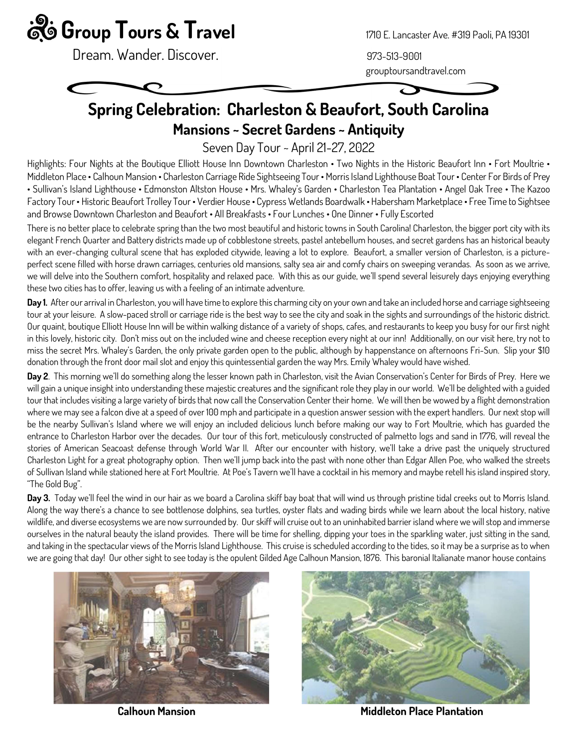## $\ddot{\mathbf{g}}$  Group Tours & Travel 1710 E. Lancaster Ave. #319 Paoli, PA 19301

Dream. Wander. Discover.

grouptoursandtravel.com

## Spring Celebration: Charleston & Beaufort, South Carolina Mansions ~ Secret Gardens ~ Antiquity

Seven Day Tour ~ April 21-27, 2022

Highlights: Four Nights at the Boutique Elliott House Inn Downtown Charleston • Two Nights in the Historic Beaufort Inn • Fort Moultrie • Middleton Place • Calhoun Mansion • Charleston Carriage Ride Sightseeing Tour • Morris Island Lighthouse Boat Tour • Center For Birds of Prey • Sullivan's Island Lighthouse • Edmonston Altston House • Mrs. Whaley's Garden • Charleston Tea Plantation • Angel Oak Tree • The Kazoo Factory Tour • Historic Beaufort Trolley Tour • Verdier House • Cypress Wetlands Boardwalk • Habersham Marketplace • Free Time to Sightsee and Browse Downtown Charleston and Beaufort • All Breakfasts • Four Lunches • One Dinner • Fully Escorted

There is no better place to celebrate spring than the two most beautiful and historic towns in South Carolina! Charleston, the bigger port city with its elegant French Quarter and Battery districts made up of cobblestone streets, pastel antebellum houses, and secret gardens has an historical beauty with an ever-changing cultural scene that has exploded citywide, leaving a lot to explore. Beaufort, a smaller version of Charleston, is a pictureperfect scene filled with horse drawn carriages, centuries old mansions, salty sea air and comfy chairs on sweeping verandas. As soon as we arrive, we will delve into the Southern comfort, hospitality and relaxed pace. With this as our guide, we'll spend several leisurely days enjoying everything these two cities has to offer, leaving us with a feeling of an intimate adventure.

Day 1. After our arrival in Charleston, you will have time to explore this charming city on your own and take an included horse and carriage sightseeing tour at your leisure. A slow-paced stroll or carriage ride is the best way to see the city and soak in the sights and surroundings of the historic district. Our quaint, boutique Elliott House Inn will be within walking distance of a variety of shops, cafes, and restaurants to keep you busy for our first night in this lovely, historic city. Don't miss out on the included wine and cheese reception every night at our inn! Additionally, on our visit here, try not to miss the secret Mrs. Whaley's Garden, the only private garden open to the public, although by happenstance on afternoons Fri-Sun. Slip your \$10 donation through the front door mail slot and enjoy this quintessential garden the way Mrs. Emily Whaley would have wished.

Day 2. This morning we'll do something along the lesser known path in Charleston, visit the Avian Conservation's Center for Birds of Prey. Here we will gain a unique insight into understanding these majestic creatures and the significant role they play in our world. We'll be delighted with a guided tour that includes visiting a large variety of birds that now call the Conservation Center their home. We will then be wowed by a flight demonstration where we may see a falcon dive at a speed of over 100 mph and participate in a question answer session with the expert handlers. Our next stop will be the nearby Sullivan's Island where we will enjoy an included delicious lunch before making our way to Fort Moultrie, which has guarded the entrance to Charleston Harbor over the decades. Our tour of this fort, meticulously constructed of palmetto logs and sand in 1776, will reveal the stories of American Seacoast defense through World War II. After our encounter with history, we'll take a drive past the uniquely structured Charleston Light for a great photography option. Then we'll jump back into the past with none other than Edgar Allen Poe, who walked the streets of Sullivan Island while stationed here at Fort Moultrie. At Poe's Tavern we'll have a cocktail in his memory and maybe retell his island inspired story, "The Gold Bug".

Day 3. Today we'll feel the wind in our hair as we board a Carolina skiff bay boat that will wind us through pristine tidal creeks out to Morris Island. Along the way there's a chance to see bottlenose dolphins, sea turtles, oyster flats and wading birds while we learn about the local history, native wildlife, and diverse ecosystems we are now surrounded by. Our skiff will cruise out to an uninhabited barrier island where we will stop and immerse ourselves in the natural beauty the island provides. There will be time for shelling, dipping your toes in the sparkling water, just sitting in the sand, and taking in the spectacular views of the Morris Island Lighthouse. This cruise is scheduled according to the tides, so it may be a surprise as to when we are going that day! Our other sight to see today is the opulent Gilded Age Calhoun Mansion, 1876. This baronial Italianate manor house contains





Calhoun Mansion Middleton Place Plantation